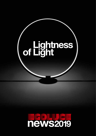## of Lightness

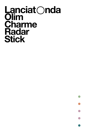## **Lanciat Onda Olim Charme Radar Stick**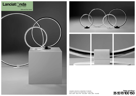## **Table and Floor 35 50 70 100 150**







Lampade in alluminio e metacrilato in 5 diametri. *Lamps in aluminium and methacrylate in 5 diameters.*  35cm ,9,6W – 50cm,14W – 70cm,20W – 100cm, 28W – 150,43W

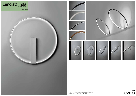





Lampade in alluminio e metacrilato in 3 diametri. *Lamps in aluminium and methacrylate in 3 diameters.* 35cm, 18W – 50cm,27W – 70cm,36W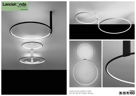**Ceiling 35 50 70 100**



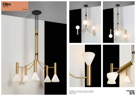





Lampadari a 3 o 5 braccia in ottone lucido o satinato. *Chandeliers with 3 or 5 arms in polished or satin brass.*  3x6W – 5x6W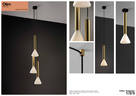





Sistema a sospensione e plafoniere in ottone lucido o satinato. *System for suspensions and ceiling lamps in polished or satin brass.* 1x6W – 2x6W – 3x6W



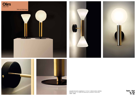









Lampade da tavolo e appliques a 1 o 2 luci in ottone lucido o satinato. *Wall lamps with 1 or 2 lights and table lamp in polished or satin brass.* 1x6W – 2x6W

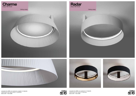



Lampade da soffitto con paralume in 2 diametri. *Ceiling lamps with shade in 2 diameters.* 50cm,27W – 70cm,36W







Lampade da soffitto con paralume a pieghe in 2 diametri. *Ceiling lamps with plissé shade in 2 diameters.* 50cm,27W – 70cm,36W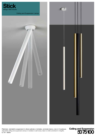

## Ceiling and Suspension Lamps





Plafoniere orientabili e sospensioni in ottone satinato o nichelato, verniciato bianco, nero in 3 lunghezze. *Adjustable ceiling and suspensions lamps in nickeled or satin brass, black or white varnished in 3 lengths.* 6,1 W – 900lm